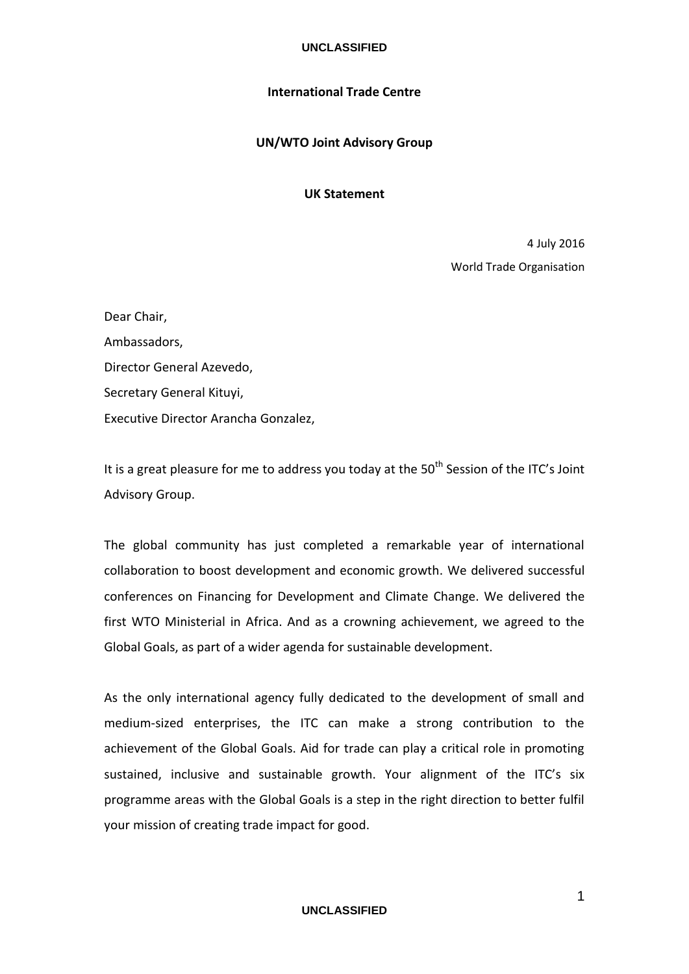# **UNCLASSIFIED**

# **International Trade Centre**

# **UN/WTO Joint Advisory Group**

# **UK Statement**

4 July 2016 World Trade Organisation

| Dear Chair,                          |
|--------------------------------------|
| Ambassadors,                         |
| Director General Azevedo,            |
| Secretary General Kituyi,            |
| Executive Director Arancha Gonzalez, |

It is a great pleasure for me to address you today at the  $50<sup>th</sup>$  Session of the ITC's Joint Advisory Group.

The global community has just completed a remarkable year of international collaboration to boost development and economic growth. We delivered successful conferences on Financing for Development and Climate Change. We delivered the first WTO Ministerial in Africa. And as a crowning achievement, we agreed to the Global Goals, as part of a wider agenda for sustainable development.

As the only international agency fully dedicated to the development of small and medium-sized enterprises, the ITC can make a strong contribution to the achievement of the Global Goals. Aid for trade can play a critical role in promoting sustained, inclusive and sustainable growth. Your alignment of the ITC's six programme areas with the Global Goals is a step in the right direction to better fulfil your mission of creating trade impact for good.

# **UNCLASSIFIED**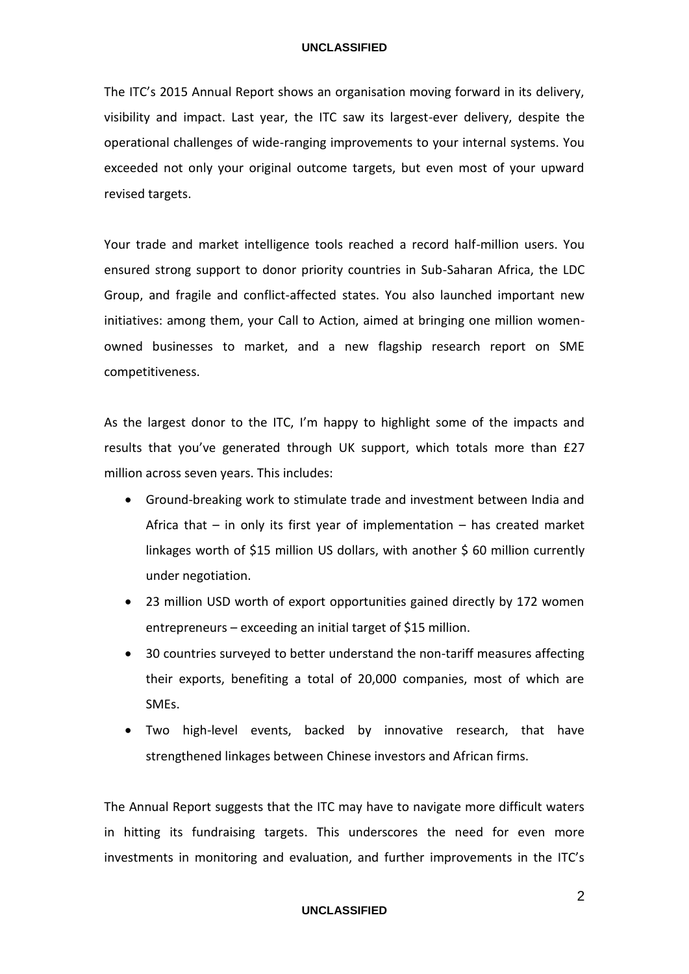#### **UNCLASSIFIED**

The ITC's 2015 Annual Report shows an organisation moving forward in its delivery, visibility and impact. Last year, the ITC saw its largest-ever delivery, despite the operational challenges of wide-ranging improvements to your internal systems. You exceeded not only your original outcome targets, but even most of your upward revised targets.

Your trade and market intelligence tools reached a record half-million users. You ensured strong support to donor priority countries in Sub-Saharan Africa, the LDC Group, and fragile and conflict-affected states. You also launched important new initiatives: among them, your Call to Action, aimed at bringing one million womenowned businesses to market, and a new flagship research report on SME competitiveness.

As the largest donor to the ITC, I'm happy to highlight some of the impacts and results that you've generated through UK support, which totals more than £27 million across seven years. This includes:

- Ground-breaking work to stimulate trade and investment between India and Africa that  $-$  in only its first year of implementation  $-$  has created market linkages worth of \$15 million US dollars, with another \$60 million currently under negotiation.
- 23 million USD worth of export opportunities gained directly by 172 women entrepreneurs – exceeding an initial target of \$15 million.
- 30 countries surveyed to better understand the non-tariff measures affecting their exports, benefiting a total of 20,000 companies, most of which are SMEs.
- Two high-level events, backed by innovative research, that have strengthened linkages between Chinese investors and African firms.

The Annual Report suggests that the ITC may have to navigate more difficult waters in hitting its fundraising targets. This underscores the need for even more investments in monitoring and evaluation, and further improvements in the ITC's

# **UNCLASSIFIED**